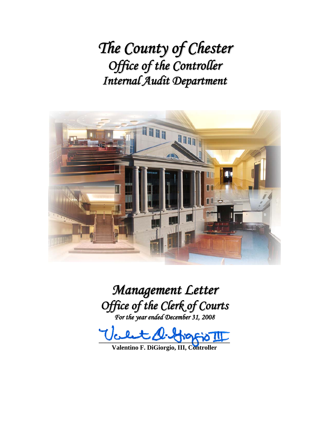*The County of Chester Office of the Controller Internal Audit Department*



*Management Letter Office of the Clerk of Courts For the year ended December 31, 2008*

 $\textit{t}$  clut  $\textit{Q-Prop}$ 

**Valentino F. DiGiorgio, III, Controller**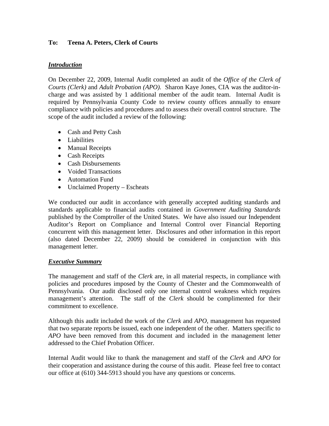## **To: Teena A. Peters, Clerk of Courts**

#### *Introduction*

On December 22, 2009, Internal Audit completed an audit of the *Office of the Clerk of Courts (Clerk)* and *Adult Probation (APO).* Sharon Kaye Jones, CIA was the auditor-incharge and was assisted by 1 additional member of the audit team. Internal Audit is required by Pennsylvania County Code to review county offices annually to ensure compliance with policies and procedures and to assess their overall control structure. The scope of the audit included a review of the following:

- Cash and Petty Cash
- Liabilities
- Manual Receipts
- Cash Receipts
- Cash Disbursements
- Voided Transactions
- Automation Fund
- Unclaimed Property Escheats

We conducted our audit in accordance with generally accepted auditing standards and standards applicable to financial audits contained in *Government Auditing Standards* published by the Comptroller of the United States. We have also issued our Independent Auditor's Report on Compliance and Internal Control over Financial Reporting concurrent with this management letter. Disclosures and other information in this report (also dated December 22, 2009) should be considered in conjunction with this management letter.

#### *Executive Summary*

The management and staff of the *Clerk* are, in all material respects, in compliance with policies and procedures imposed by the County of Chester and the Commonwealth of Pennsylvania. Our audit disclosed only one internal control weakness which requires management's attention. The staff of the *Clerk* should be complimented for their commitment to excellence.

Although this audit included the work of the *Clerk* and *APO,* management has requested that two separate reports be issued, each one independent of the other. Matters specific to *APO* have been removed from this document and included in the management letter addressed to the Chief Probation Officer.

Internal Audit would like to thank the management and staff of the *Clerk* and *APO* for their cooperation and assistance during the course of this audit. Please feel free to contact our office at (610) 344-5913 should you have any questions or concerns.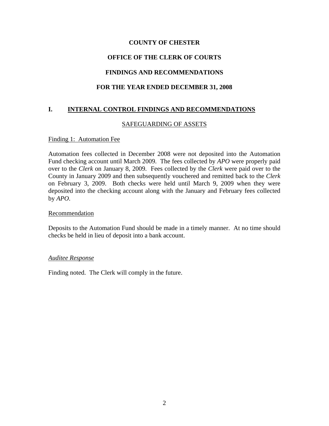# **COUNTY OF CHESTER**

# **OFFICE OF THE CLERK OF COURTS**

# **FINDINGS AND RECOMMENDATIONS**

## **FOR THE YEAR ENDED DECEMBER 31, 2008**

## **I. INTERNAL CONTROL FINDINGS AND RECOMMENDATIONS**

#### SAFEGUARDING OF ASSETS

#### Finding 1: Automation Fee

Automation fees collected in December 2008 were not deposited into the Automation Fund checking account until March 2009. The fees collected by *APO* were properly paid over to the *Clerk* on January 8, 2009. Fees collected by the *Clerk* were paid over to the County in January 2009 and then subsequently vouchered and remitted back to the *Clerk* on February 3, 2009. Both checks were held until March 9, 2009 when they were deposited into the checking account along with the January and February fees collected by *APO*.

#### **Recommendation**

Deposits to the Automation Fund should be made in a timely manner. At no time should checks be held in lieu of deposit into a bank account.

#### *Auditee Response*

Finding noted. The Clerk will comply in the future.